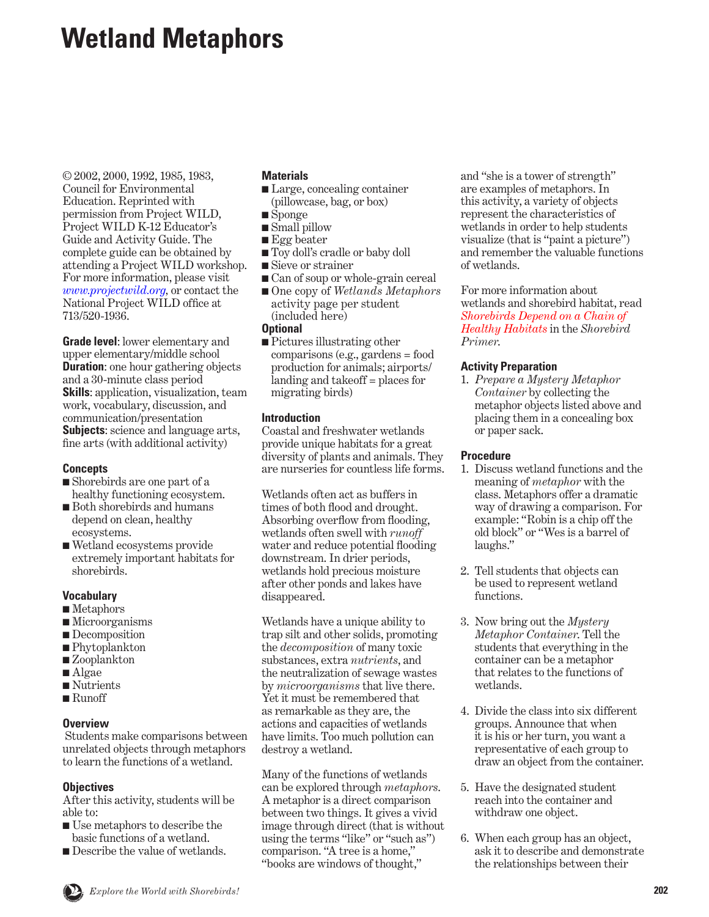# **Wetland Metaphors**

© 2002, 2000, 1992, 1985, 1983, Council for Environmental Education. Reprinted with permission from Project WILD, Project WILD K-12 Educator's Guide and Activity Guide. The complete guide can be obtained by attending a Project WILD workshop. For more information, please visit *[www.projectwild.org](http://www.projectwild.org),* or contact the National Project WILD office at 713/520-1936.

**Grade level**: lower elementary and upper elementary/middle school **Duration:** one hour gathering objects and a 30-minute class period **Skills**: application, visualization, team work, vocabulary, discussion, and communication/presentation **Subjects**: science and language arts, fine arts (with additional activity)

#### **Concepts**

- Shorebirds are one part of a healthy functioning ecosystem.
- Both shorebirds and humans depend on clean, healthy ecosystems.
- Wetland ecosystems provide extremely important habitats for shorebirds.

#### **Vocabulary**

- Metaphors
- Microorganisms
- Decomposition
- Phytoplankton
- Zooplankton
- Algae
- Nutrients
- Runoff

# **Overview**

 Students make comparisons between unrelated objects through metaphors to learn the functions of a wetland.

# **Objectives**

After this activity, students will be able to:

- Use metaphors to describe the basic functions of a wetland.
- Describe the value of wetlands.

## **Materials**

- Large, concealing container (pillowcase, bag, or box)
- Sponge
- Small pillow
- Egg beater
- Toy doll's cradle or baby doll
- Sieve or strainer
- Can of soup or whole-grain cereal
- One copy of *Wetlands Metaphors* activity page per student (included here)

#### **Optional**

■ Pictures illustrating other comparisons (e.g., gardens = food production for animals; airports/ landing and takeoff = places for migrating birds)

## **Introduction**

Coastal and freshwater wetlands provide unique habitats for a great diversity of plants and animals. They are nurseries for countless life forms.

Wetlands often act as buffers in times of both flood and drought. Absorbing overflow from flooding, wetlands often swell with *runoff*  water and reduce potential flooding downstream. In drier periods, wetlands hold precious moisture after other ponds and lakes have disappeared.

Wetlands have a unique ability to trap silt and other solids, promoting the *decomposition* of many toxic substances, extra *nutrients*, and the neutralization of sewage wastes by *microorganisms* that live there. Yet it must be remembered that as remarkable as they are, the actions and capacities of wetlands have limits. Too much pollution can destroy a wetland.

Many of the functions of wetlands can be explored through *metaphors*. A metaphor is a direct comparison between two things. It gives a vivid image through direct (that is without using the terms "like" or "such as") comparison. "A tree is a home," "books are windows of thought,"

and "she is a tower of strength" are examples of metaphors. In this activity, a variety of objects represent the characteristics of wetlands in order to help students visualize (that is "paint a picture") and remember the valuable functions of wetlands.

For more information about wetlands and shorebird habitat, read *[Shorebirds Depend on a Chain of](#page-9-0) Healthy Habitats* in the *Shorebird Primer*.

## **Activity Preparation**

1. *Prepare a Mystery Metaphor Container* by collecting the metaphor objects listed above and placing them in a concealing box or paper sack.

#### **Procedure**

- 1. Discuss wetland functions and the meaning of *metaphor* with the class. Metaphors offer a dramatic way of drawing a comparison. For example: "Robin is a chip off the old block" or "Wes is a barrel of laughs."
- 2. Tell students that objects can be used to represent wetland functions.
- 3. Now bring out the *Mystery Metaphor Container*. Tell the students that everything in the container can be a metaphor that relates to the functions of wetlands.
- 4. Divide the class into six different groups. Announce that when it is his or her turn, you want a representative of each group to draw an object from the container.
- 5. Have the designated student reach into the container and withdraw one object.
- 6. When each group has an object, ask it to describe and demonstrate the relationships between their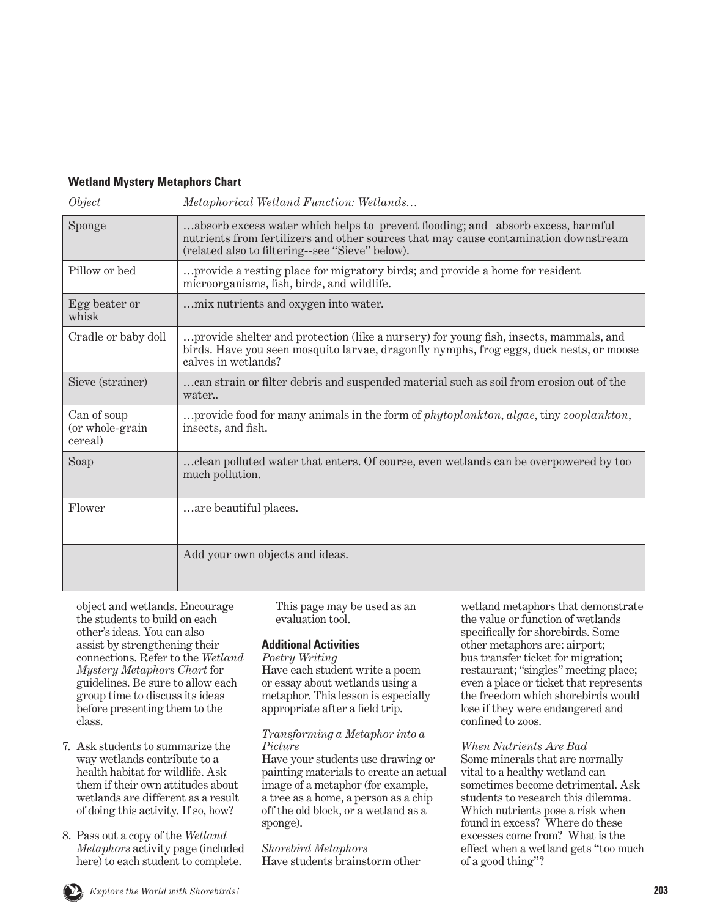# **Wetland Mystery Metaphors Chart**

| μ |  |
|---|--|
|   |  |

*Metaphorical Wetland Function: Wetlands...* 

| Sponge                                    | absorb excess water which helps to prevent flooding; and absorb excess, harmful<br>nutrients from fertilizers and other sources that may cause contamination downstream<br>(related also to filtering--see "Sieve" below). |
|-------------------------------------------|----------------------------------------------------------------------------------------------------------------------------------------------------------------------------------------------------------------------------|
| Pillow or bed                             | provide a resting place for migratory birds; and provide a home for resident<br>microorganisms, fish, birds, and wildlife.                                                                                                 |
| Egg beater or<br>whisk                    | mix nutrients and oxygen into water.                                                                                                                                                                                       |
| Cradle or baby doll                       | provide shelter and protection (like a nursery) for young fish, insects, mammals, and<br>birds. Have you seen mosquito larvae, dragonfly nymphs, frog eggs, duck nests, or moose<br>calves in wetlands?                    |
| Sieve (strainer)                          | can strain or filter debris and suspended material such as soil from erosion out of the<br>water                                                                                                                           |
| Can of soup<br>(or whole-grain<br>cereal) | provide food for many animals in the form of phytoplankton, algae, tiny zooplankton,<br>insects, and fish.                                                                                                                 |
| Soap                                      | clean polluted water that enters. Of course, even wetlands can be overpowered by too<br>much pollution.                                                                                                                    |
| Flower                                    | are beautiful places.                                                                                                                                                                                                      |
|                                           | Add your own objects and ideas.                                                                                                                                                                                            |

object and wetlands. Encourage the students to build on each other's ideas. You can also assist by strengthening their connections. Refer to the *Wetland Mystery Metaphors Chart* for guidelines. Be sure to allow each group time to discuss its ideas before presenting them to the class.

- 7. Ask students to summarize the way wetlands contribute to a health habitat for wildlife. Ask them if their own attitudes about wetlands are different as a result of doing this activity. If so, how?
- 8. Pass out a copy of the *Wetland Metaphors* activity page (included here) to each student to complete.

This page may be used as an evaluation tool.

#### **Additional Activities**

*Poetry Writing* Have each student write a poem or essay about wetlands using a metaphor. This lesson is especially appropriate after a field trip.

#### *Transforming a Metaphor into a Picture*

Have your students use drawing or painting materials to create an actual image of a metaphor (for example, a tree as a home, a person as a chip off the old block, or a wetland as a sponge).

*Shorebird Metaphors* Have students brainstorm other wetland metaphors that demonstrate the value or function of wetlands specifically for shorebirds. Some other metaphors are: airport; bus transfer ticket for migration; restaurant; "singles" meeting place; even a place or ticket that represents the freedom which shorebirds would lose if they were endangered and confined to zoos.

*When Nutrients Are Bad* Some minerals that are normally vital to a healthy wetland can sometimes become detrimental. Ask students to research this dilemma. Which nutrients pose a risk when found in excess? Where do these excesses come from? What is the effect when a wetland gets "too much of a good thing"?

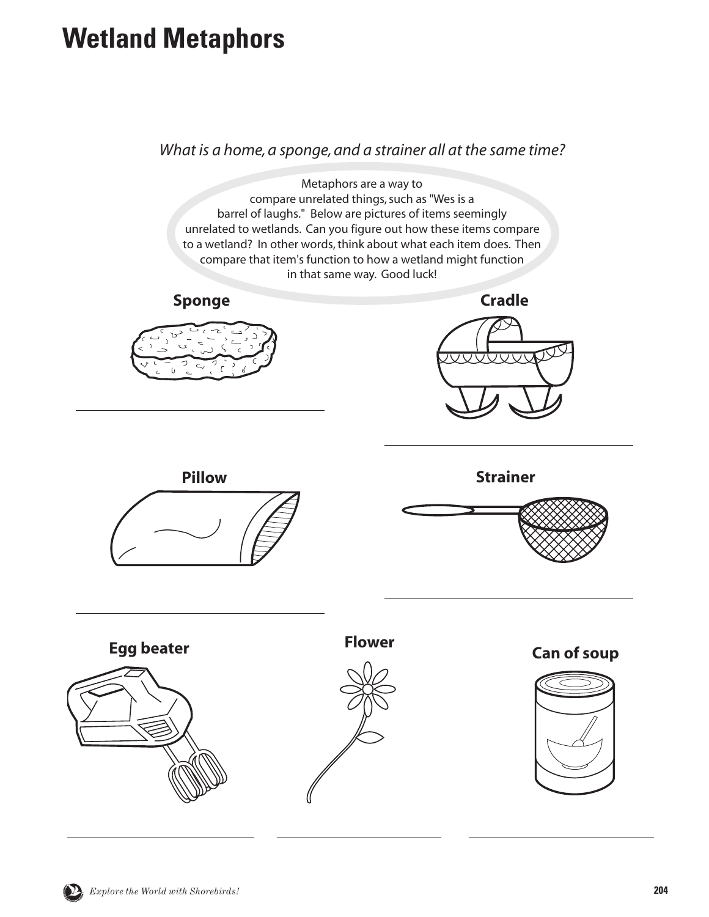# **Wetland Metaphors**

*What is a home, a sponge, and a strainer all at the same time?*